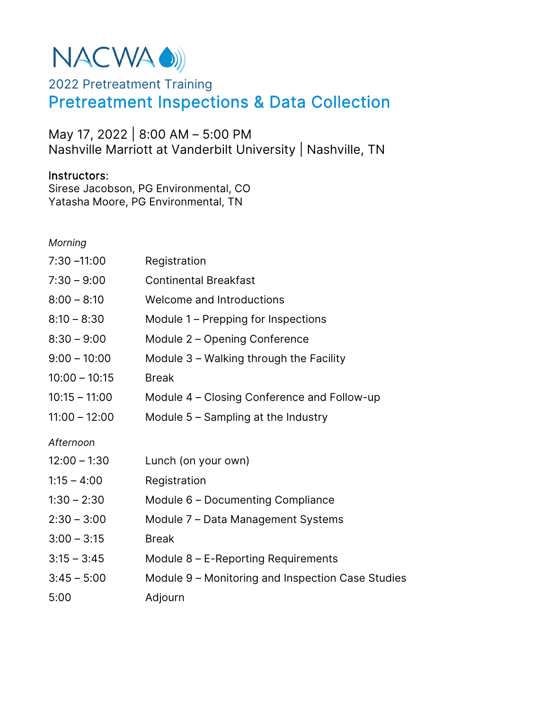# NACWA ()

# 2022 Pretreatment Training Pretreatment Inspections & Data Collection

May 17, 2022 | 8:00 AM – 5:00 PM Nashville Marriott at Vanderbilt University | Nashville, TN

## Instructors:

Sirese Jacobson, PG Environmental, CO Yatasha Moore, PG Environmental, TN

*Morning* 

| Registration                                      |
|---------------------------------------------------|
| <b>Continental Breakfast</b>                      |
| Welcome and Introductions                         |
| Module 1 – Prepping for Inspections               |
| Module 2 - Opening Conference                     |
| Module 3 – Walking through the Facility           |
| <b>Break</b>                                      |
| Module 4 – Closing Conference and Follow-up       |
| Module $5 -$ Sampling at the Industry             |
|                                                   |
| Lunch (on your own)                               |
| Registration                                      |
| Module 6 - Documenting Compliance                 |
| Module 7 - Data Management Systems                |
| <b>Break</b>                                      |
| Module $8$ – E-Reporting Requirements             |
| Module 9 – Monitoring and Inspection Case Studies |
| Adjourn                                           |
|                                                   |